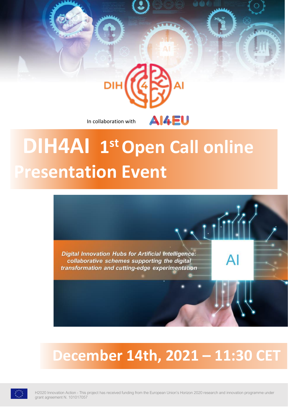In collaboration with

DIH

# **DIH4AI 1 stOpen Call online Presentation Event**

AI4EU

 $\cdot$  (11

 $AI$ 

**Digital Innovation Hubs for Artificial Intelligence:** collaborative schemes supporting the digital transformation and cutting-edge experimentation

## **December 14th, 2021 – 11:30 CET**



H2020 Innovation Action - This project has received funding from the European Union's Horizon 2020 research and innovation programme under grant agreement N. 101017057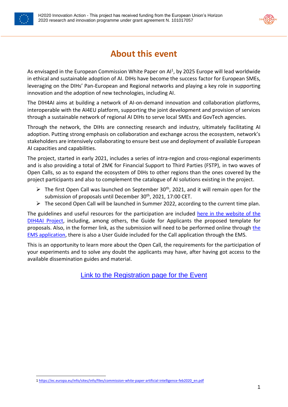



## **About this event**

As envisaged in the European Commission White Paper on AI<sup>1</sup>, by 2025 Europe will lead worldwide in ethical and sustainable adoption of AI. DIHs have become the success factor for European SMEs, leveraging on the DIHs' Pan-European and Regional networks and playing a key role in supporting innovation and the adoption of new technologies, including AI.

The DIH4AI aims at building a network of AI-on-demand innovation and collaboration platforms, interoperable with the AI4EU platform, supporting the joint development and provision of services through a sustainable network of regional AI DIHs to serve local SMEs and GovTech agencies.

Through the network, the DIHs are connecting research and industry, ultimately facilitating AI adoption. Putting strong emphasis on collaboration and exchange across the ecosystem, network's stakeholders are intensively collaborating to ensure best use and deployment of available European AI capacities and capabilities.

The project, started in early 2021, includes a series of intra-region and cross-regional experiments and is also providing a total of 2M€ for Financial Support to Third Parties (FSTP), in two waves of Open Calls, so as to expand the ecosystem of DIHs to other regions than the ones covered by the project participants and also to complement the catalogue of AI solutions existing in the project.

- $\triangleright$  The first Open Call was launched on September 30<sup>th</sup>, 2021, and it will remain open for the submission of proposals until December 30<sup>th</sup>, 2021, 17:00 CET.
- ➢ The second Open Call will be launched in Summer 2022, according to the current time plan.

The guidelines and useful resources for the participation are included [here in the website of the](https://www.dih4ai.eu/copy-of-open-calls)  [DIH4AI Project,](https://www.dih4ai.eu/copy-of-open-calls) including, among others, the Guide for Applicants the proposed template for proposals. Also, in [the](https://dih4ai.ems-innovalia.org/) former link, as the submission will need to be performed online through the [EMS application,](https://dih4ai.ems-innovalia.org/) there is also a User Guide included for the Call application through the EMS.

This is an opportunity to learn more about the Open Call, the requirements for the participation of your experiments and to solve any doubt the applicants may have, after having got access to the available dissemination guides and material.

Link to the [Registration page for the Event](https://innovalia.webex.com/innovalia/j.php?MTID=m1910ba181678e3b22c9d84cbbbeaaf54)

<sup>1</sup> [https://ec.europa.eu/info/sites/info/files/commission-white-paper-artificial-intelligence-feb2020\\_en.pdf](https://ec.europa.eu/info/sites/info/files/commission-white-paper-artificial-intelligence-feb2020_en.pdf)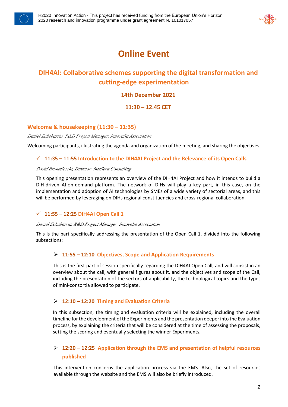



## **Online Event**

### **DIH4AI: Collaborative schemes supporting the digital transformation and cutting-edge experimentation**

#### **14th December 2021**

**11:30 – 12.45 CET**

#### **Welcome & housekeeping (11:30 – 11:35)**

*Daniel Echebarria, R&D Project Manager, Innovalia Association*

Welcoming participants, illustrating the agenda and organization of the meeting, and sharing the objectives*.*

#### ✓ **11:35 – 11:55 Introduction to the DIH4AI Project and the Relevance of its Open Calls**

#### *David Brunelleschi, Director, Intellera Consulting*

This opening presentation represents an overview of the DIH4AI Project and how it intends to build a DIH-driven AI-on-demand platform. The network of DIHs will play a key part, in this case, on the implementation and adoption of AI technologies by SMEs of a wide variety of sectorial areas, and this will be performed by leveraging on DIHs regional constituencies and cross-regional collaboration.

#### ✓ **11:55 – 12:25 DIH4AI Open Call 1**

#### *Daniel Echebarria, R&D Project Manager, Innovalia Association*

This is the part specifically addressing the presentation of the Open Call 1, divided into the following subsections:

#### ➢ **11:55 – 12:10 Objectives, Scope and Application Requirements**

This is the first part of session specifically regarding the DIH4AI Open Call, and will consist in an overview about the call, with general figures about it, and the objectives and scope of the Call, including the presentation of the sectors of applicability, the technological topics and the types of mini-consortia allowed to participate.

#### ➢ **12:10 – 12:20 Timing and Evaluation Criteria**

In this subsection, the timing and evaluation criteria will be explained, including the overall timeline for the development of the Experiments and the presentation deeper into the Evaluation process, by explaining the criteria that will be considered at the time of assessing the proposals, setting the scoring and eventually selecting the winner Experiments.

#### ➢ **12:20 – 12:25 Application through the EMS and presentation of helpful resources published**

This intervention concerns the application process via the EMS. Also, the set of resources available through the website and the EMS will also be briefly introduced.